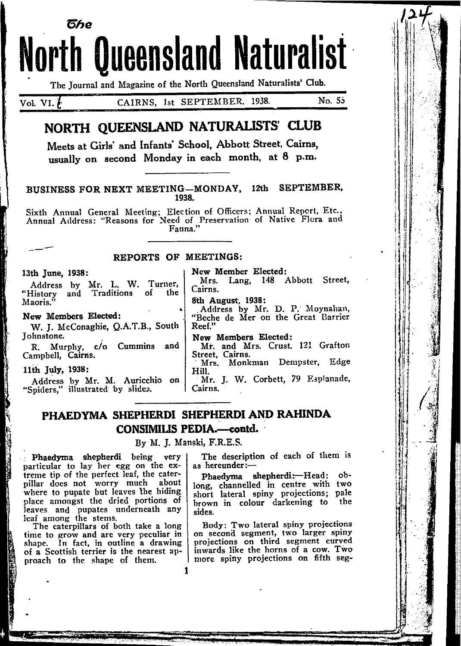# North Queensland Naturalist 6he

The Journal and Magazine of the North Queensland Naturalists' Club.

Vol. VI. CAIRNS, 1st SEPTEMBER. 1938. No. 55

# NORTH OUEENSLAND NATURALISTS' CLUB

Meets at Gitls' and Infants' School, Abbott Street, Cairns, usually on second Monday in each month, at  $8$  p.m.

#### BUSINESS FOR NEXT MEETING-MONDAY, 12th SEPTEMBER, 1938.

Sixth Annual General Meeting; Election of Officers; Annual Report, Etc.,<br>Annual Address: "Reasons for Need of Preservation of Native Flora and<br>Fauna."

#### REPORTS OF MEETINGS:

#### l3th June, 1938:

Address by Mr. L. W. Turner,<br>"History and Traditions of the and Traditions of the Maoris."

#### New Members Elected:

W. J. McConaghie, Q.A.T.B., South Johnstone.

R. Murphy, c/o Cummins and Campbell, Cairns.

llih July, 1938:

Address by Mr. M. Auricchio on "Spiders." illustrated by slides.

New Member Elected:

Mrs. Lang, 148 Abbott Street, Cairns.

8th August, 1938:

Address by Mr. D. P. Moynahan, "Beche de Mer on the Great llarrier Reef."

New Members Elected:

Mr. and Mrs. Crust. 121 Grafton<br>Street, Cairns.

Mrs. Monkman Dempster, Edge Hiu. Mr. J. W. Corbett, 79 Esplanade,

## PHAEDYMA SHEPHERDI SHEPHERDI AND RAHINDA CONSIMILIS PEDIA.-contd.

Cairns.

Bv M. J. Manski, F.R.E.S.

Phaedyma shepherdi being very particular to lay her egg on the extreme tip of the perfect leaf, the caterpillar does not worry much about where to pupate but leaves the hiding place amongst the dried portions of leaves and pupates underneath any leaf among the stems.

The caterpillars of both take a long time to grow and are very peculiar in shape. In fact, in outline a drawing of a Scottish terrier is the nearest approach to the shape of them.

The description of each of them is as hereunder: $-$ 

Phaedyma shepherdi: Head: oblong, channelled in centre with two short lateral spiny projections; pale brown in colour darkening to sides. the

Body: Two lateral spiny projections on second segment, two larger spiny projections on third segment curved inwards like the horns of a cow. Two nore spiny projections on fifth seg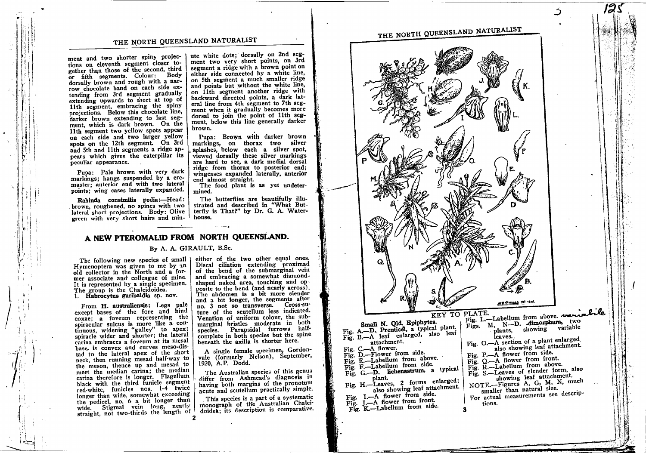THE NORTH QUEENSLAND NATURALIST

ment and two shorter spiny projections on eleventh segment closer together than those of the second, third or fifth segments. Colour: Body dorsally brown and rough with a narrow chocolate band on each side extending from 3rd segment gradually extending upwards to theet at top of 11th segment, embracing the spiny projections. Below this chocolate line, darker brown extending to last segment, which is dark brown. On the 11th segment two yellow spots appear on each side and two larger yellow spots on the 12th segment. On 3rd and 5th and 11th segments a ridge appears which gives the caterpillar its peculiar appearance.

Puoa: Pale brown with very dark markings: hangs suspended by a cremaster: anterior end with two lateral points; wing cases laterally expanded.

Rahinda consimilis pedia:-Head: brown, roughened, no spines with two lateral short projections. Body: Olive green with very short hairs and min-

ute white dots; dorsally on 2nd segment two very short points, on 3rd segment a ridge with a brown point on either side connected by a white line, on 5th segment a much smaller ridge and points but without the white line, on 11th segment another ridge with backward directed points, a dark lateral line from 4th segment to 7th segment when it gradually becomes more dorsal to join the point of 11th segment, below this line generally darker brown.

Pupa: Brown with darker brown markings, on thorax two silver splashes, below each a silver spot, viewed dorsally these silver markings are hard to see, a dark medial dorsal ridge from thorax to posterior end; wingcases expanded laterally, anterior end almost straight.

The food plant is as yet undetermined.

The butterflies are beautifully illustrated and described in "What Butterfly is That?" by Dr. G. A. Waterhouse.

### A NEW PTEROMALID FROM NORTH QUEENSLAND.

#### By A. A. GIRAULT, B.Sc.

The following new species of small I Hymenoptera was given to me by an old collector in the North and a former associate and colleague of mine. It is represented by a single specimen. The group is the Chalcidoidea. 1. Habrocytus garibaldia sp. nov.

From H. australiensis: Legs pale except bases of the fore and hind coxae; a foveum representing the spiracular sulcus is more like a continuous, widening "gulley" to apex;<br>spiracle wider and shorter; the lateral carina embraces a foveum at its mesal base, is convex and curves meso-distad to the lateral apex of the short neck, then running mesad half-way to the meson, thence up and mesad to meet the median carina; the median carina therefore is longer. Flagellum black with the third funicle segment red-white, funicles nos. 1-4 twice longer than wide, somewhat exceeding the pedicel, no. 6 a bit longer than wide. Stigmal vein long, nearly straight, not two-thirds the length of 2

either of the two other equal ones. Discal ciliation extending proximad of the bend of the submarginal vein and embracing a somewhat diamondshaped naked area, touching and opposite to the bend (and nearly across). The abdomen is a bit more slender and a bit longer, the segments after no. 3 not so transverse. Cross-suture of the scutellum less indicated. Venation of uniform colour, the submarginal bristles moderate in both species. Parapsidal furrows halfcomplete in both species but the spine beneath the axilla is shorter here.

A single female specimen, Gordonvale (formerly Nelson), September, 1920, A.P. Dodd.

The Australian species of this genus differ from Ashmead's diagnosis in having both margins of the pronotum acute and scutellum practically simple.

This species is a part of a systematic monograph of the Australian Chalcidoidea: its description is comparative.